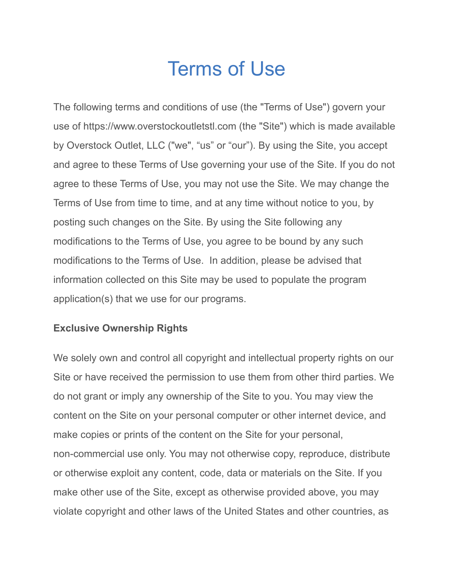# Terms of Use

The following terms and conditions of use (the "Terms of Use") govern your use of https://www.overstockoutletstl.com (the "Site") which is made available by Overstock Outlet, LLC ("we", "us" or "our"). By using the Site, you accept and agree to these Terms of Use governing your use of the Site. If you do not agree to these Terms of Use, you may not use the Site. We may change the Terms of Use from time to time, and at any time without notice to you, by posting such changes on the Site. By using the Site following any modifications to the Terms of Use, you agree to be bound by any such modifications to the Terms of Use. In addition, please be advised that information collected on this Site may be used to populate the program application(s) that we use for our programs.

# **Exclusive Ownership Rights**

We solely own and control all copyright and intellectual property rights on our Site or have received the permission to use them from other third parties. We do not grant or imply any ownership of the Site to you. You may view the content on the Site on your personal computer or other internet device, and make copies or prints of the content on the Site for your personal, non-commercial use only. You may not otherwise copy, reproduce, distribute or otherwise exploit any content, code, data or materials on the Site. If you make other use of the Site, except as otherwise provided above, you may violate copyright and other laws of the United States and other countries, as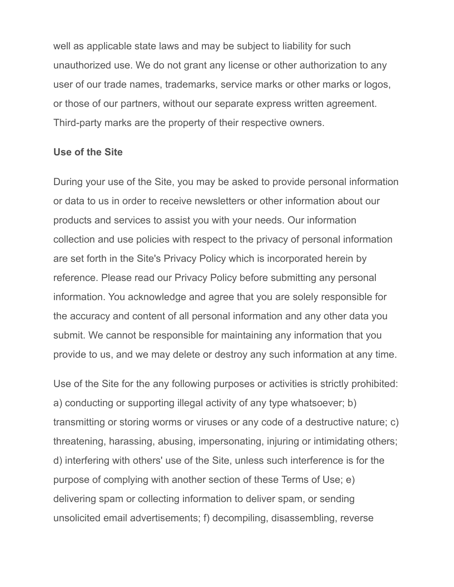well as applicable state laws and may be subject to liability for such unauthorized use. We do not grant any license or other authorization to any user of our trade names, trademarks, service marks or other marks or logos, or those of our partners, without our separate express written agreement. Third-party marks are the property of their respective owners.

#### **Use of the Site**

During your use of the Site, you may be asked to provide personal information or data to us in order to receive newsletters or other information about our products and services to assist you with your needs. Our information collection and use policies with respect to the privacy of personal information are set forth in the Site's Privacy Policy which is incorporated herein by reference. Please read our Privacy Policy before submitting any personal information. You acknowledge and agree that you are solely responsible for the accuracy and content of all personal information and any other data you submit. We cannot be responsible for maintaining any information that you provide to us, and we may delete or destroy any such information at any time.

Use of the Site for the any following purposes or activities is strictly prohibited: a) conducting or supporting illegal activity of any type whatsoever; b) transmitting or storing worms or viruses or any code of a destructive nature; c) threatening, harassing, abusing, impersonating, injuring or intimidating others; d) interfering with others' use of the Site, unless such interference is for the purpose of complying with another section of these Terms of Use; e) delivering spam or collecting information to deliver spam, or sending unsolicited email advertisements; f) decompiling, disassembling, reverse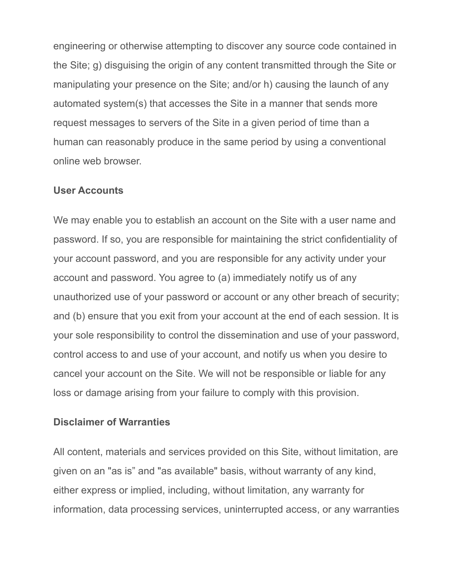engineering or otherwise attempting to discover any source code contained in the Site; g) disguising the origin of any content transmitted through the Site or manipulating your presence on the Site; and/or h) causing the launch of any automated system(s) that accesses the Site in a manner that sends more request messages to servers of the Site in a given period of time than a human can reasonably produce in the same period by using a conventional online web browser.

#### **User Accounts**

We may enable you to establish an account on the Site with a user name and password. If so, you are responsible for maintaining the strict confidentiality of your account password, and you are responsible for any activity under your account and password. You agree to (a) immediately notify us of any unauthorized use of your password or account or any other breach of security; and (b) ensure that you exit from your account at the end of each session. It is your sole responsibility to control the dissemination and use of your password, control access to and use of your account, and notify us when you desire to cancel your account on the Site. We will not be responsible or liable for any loss or damage arising from your failure to comply with this provision.

#### **Disclaimer of Warranties**

All content, materials and services provided on this Site, without limitation, are given on an "as is" and "as available" basis, without warranty of any kind, either express or implied, including, without limitation, any warranty for information, data processing services, uninterrupted access, or any warranties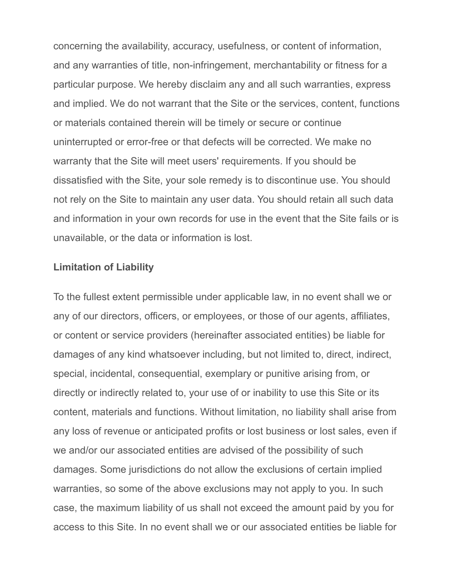concerning the availability, accuracy, usefulness, or content of information, and any warranties of title, non-infringement, merchantability or fitness for a particular purpose. We hereby disclaim any and all such warranties, express and implied. We do not warrant that the Site or the services, content, functions or materials contained therein will be timely or secure or continue uninterrupted or error-free or that defects will be corrected. We make no warranty that the Site will meet users' requirements. If you should be dissatisfied with the Site, your sole remedy is to discontinue use. You should not rely on the Site to maintain any user data. You should retain all such data and information in your own records for use in the event that the Site fails or is unavailable, or the data or information is lost.

#### **Limitation of Liability**

To the fullest extent permissible under applicable law, in no event shall we or any of our directors, officers, or employees, or those of our agents, affiliates, or content or service providers (hereinafter associated entities) be liable for damages of any kind whatsoever including, but not limited to, direct, indirect, special, incidental, consequential, exemplary or punitive arising from, or directly or indirectly related to, your use of or inability to use this Site or its content, materials and functions. Without limitation, no liability shall arise from any loss of revenue or anticipated profits or lost business or lost sales, even if we and/or our associated entities are advised of the possibility of such damages. Some jurisdictions do not allow the exclusions of certain implied warranties, so some of the above exclusions may not apply to you. In such case, the maximum liability of us shall not exceed the amount paid by you for access to this Site. In no event shall we or our associated entities be liable for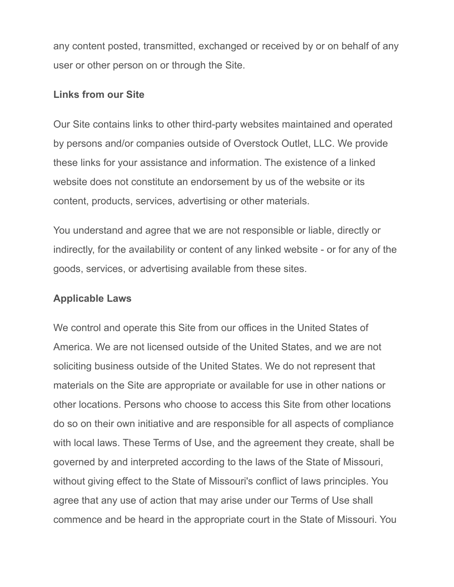any content posted, transmitted, exchanged or received by or on behalf of any user or other person on or through the Site.

### **Links from our Site**

Our Site contains links to other third-party websites maintained and operated by persons and/or companies outside of Overstock Outlet, LLC. We provide these links for your assistance and information. The existence of a linked website does not constitute an endorsement by us of the website or its content, products, services, advertising or other materials.

You understand and agree that we are not responsible or liable, directly or indirectly, for the availability or content of any linked website - or for any of the goods, services, or advertising available from these sites.

## **Applicable Laws**

We control and operate this Site from our offices in the United States of America. We are not licensed outside of the United States, and we are not soliciting business outside of the United States. We do not represent that materials on the Site are appropriate or available for use in other nations or other locations. Persons who choose to access this Site from other locations do so on their own initiative and are responsible for all aspects of compliance with local laws. These Terms of Use, and the agreement they create, shall be governed by and interpreted according to the laws of the State of Missouri, without giving effect to the State of Missouri's conflict of laws principles. You agree that any use of action that may arise under our Terms of Use shall commence and be heard in the appropriate court in the State of Missouri. You